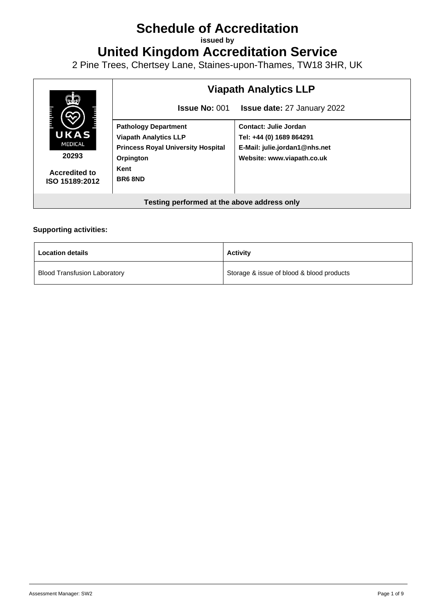# **Schedule of Accreditation**

**issued by**

**United Kingdom Accreditation Service**

2 Pine Trees, Chertsey Lane, Staines-upon-Thames, TW18 3HR, UK



#### **Supporting activities:**

| <b>Location details</b>             | <b>Activity</b>                           |
|-------------------------------------|-------------------------------------------|
| <b>Blood Transfusion Laboratory</b> | Storage & issue of blood & blood products |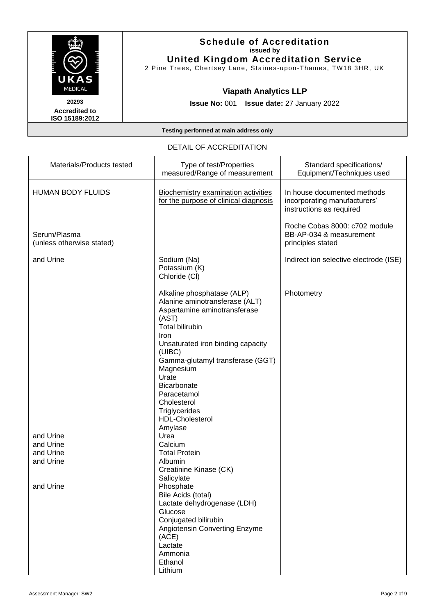

2 Pine Trees, Chertsey Lane, Staines -upon -Thames, TW18 3HR, UK

## **Viapath Analytics LLP**

**Issue No:** 001 **Issue date:** 27 January 2022

**Accredited to ISO 15189:2012** 

**Testing performed at main address only**

#### DETAIL OF ACCREDITATION

| Materials/Products tested                 | Type of test/Properties<br>measured/Range of measurement                                                                                                                                                                                                                                                                                            | Standard specifications/<br>Equipment/Techniques used                                   |
|-------------------------------------------|-----------------------------------------------------------------------------------------------------------------------------------------------------------------------------------------------------------------------------------------------------------------------------------------------------------------------------------------------------|-----------------------------------------------------------------------------------------|
| <b>HUMAN BODY FLUIDS</b>                  | <b>Biochemistry examination activities</b><br>for the purpose of clinical diagnosis                                                                                                                                                                                                                                                                 | In house documented methods<br>incorporating manufacturers'<br>instructions as required |
| Serum/Plasma<br>(unless otherwise stated) |                                                                                                                                                                                                                                                                                                                                                     | Roche Cobas 8000: c702 module<br>BB-AP-034 & measurement<br>principles stated           |
| and Urine                                 | Sodium (Na)<br>Potassium (K)<br>Chloride (CI)                                                                                                                                                                                                                                                                                                       | Indirect ion selective electrode (ISE)                                                  |
|                                           | Alkaline phosphatase (ALP)<br>Alanine aminotransferase (ALT)<br>Aspartamine aminotransferase<br>(AST)<br><b>Total bilirubin</b><br>Iron<br>Unsaturated iron binding capacity<br>(UIBC)<br>Gamma-glutamyl transferase (GGT)<br>Magnesium<br>Urate<br>Bicarbonate<br>Paracetamol<br>Cholesterol<br>Triglycerides<br><b>HDL-Cholesterol</b><br>Amylase | Photometry                                                                              |
| and Urine                                 | Urea                                                                                                                                                                                                                                                                                                                                                |                                                                                         |
| and Urine<br>and Urine                    | Calcium<br><b>Total Protein</b>                                                                                                                                                                                                                                                                                                                     |                                                                                         |
| and Urine                                 | Albumin<br>Creatinine Kinase (CK)<br>Salicylate                                                                                                                                                                                                                                                                                                     |                                                                                         |
| and Urine                                 | Phosphate<br>Bile Acids (total)<br>Lactate dehydrogenase (LDH)<br>Glucose<br>Conjugated bilirubin<br>Angiotensin Converting Enzyme<br>(ACE)<br>Lactate<br>Ammonia<br>Ethanol<br>Lithium                                                                                                                                                             |                                                                                         |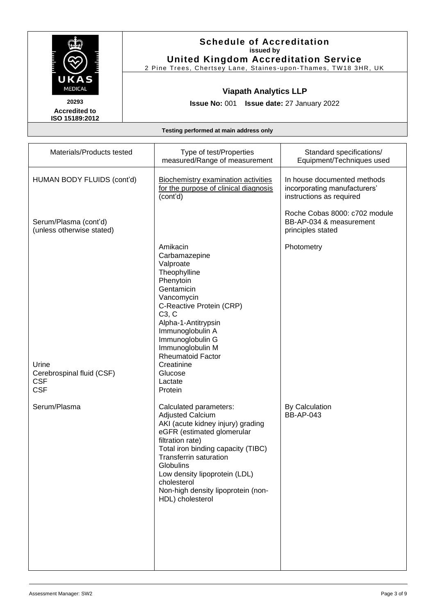

**Accredited to ISO 15189:2012** 

## **Schedule of Accreditation issued by United Kingdom Accreditation Service**

2 Pine Trees, Chertsey Lane, Staines -upon -Thames, TW18 3HR, UK

# **Viapath Analytics LLP**

**Issue No:** 001 **Issue date:** 27 January 2022

| Materials/Products tested                                      | Type of test/Properties<br>measured/Range of measurement                                                                                                                                                                                                                                                                               | Standard specifications/<br>Equipment/Techniques used                                   |
|----------------------------------------------------------------|----------------------------------------------------------------------------------------------------------------------------------------------------------------------------------------------------------------------------------------------------------------------------------------------------------------------------------------|-----------------------------------------------------------------------------------------|
| HUMAN BODY FLUIDS (cont'd)                                     | <b>Biochemistry examination activities</b><br>for the purpose of clinical diagnosis<br>(cont'd)                                                                                                                                                                                                                                        | In house documented methods<br>incorporating manufacturers'<br>instructions as required |
| Serum/Plasma (cont'd)<br>(unless otherwise stated)             |                                                                                                                                                                                                                                                                                                                                        | Roche Cobas 8000: c702 module<br>BB-AP-034 & measurement<br>principles stated           |
| Urine<br>Cerebrospinal fluid (CSF)<br><b>CSF</b><br><b>CSF</b> | Amikacin<br>Carbamazepine<br>Valproate<br>Theophylline<br>Phenytoin<br>Gentamicin<br>Vancomycin<br>C-Reactive Protein (CRP)<br>C3, C<br>Alpha-1-Antitrypsin<br>Immunoglobulin A<br>Immunoglobulin G<br>Immunoglobulin M<br><b>Rheumatoid Factor</b><br>Creatinine<br>Glucose<br>Lactate<br>Protein                                     | Photometry                                                                              |
| Serum/Plasma                                                   | Calculated parameters:<br><b>Adjusted Calcium</b><br>AKI (acute kidney injury) grading<br>eGFR (estimated glomerular<br>filtration rate)<br>Total iron binding capacity (TIBC)<br><b>Transferrin saturation</b><br>Globulins<br>Low density lipoprotein (LDL)<br>cholesterol<br>Non-high density lipoprotein (non-<br>HDL) cholesterol | <b>By Calculation</b><br><b>BB-AP-043</b>                                               |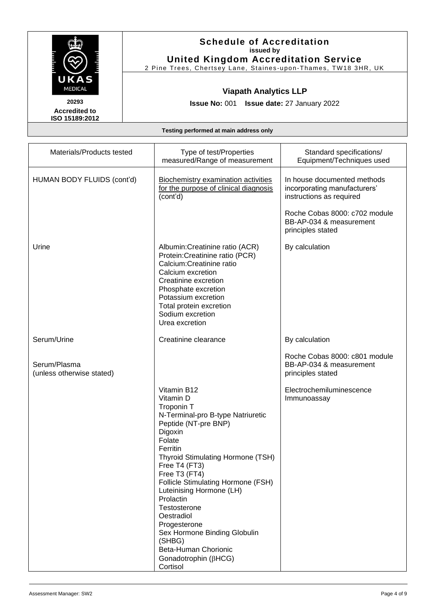

2 Pine Trees, Chertsey Lane, Staines -upon -Thames, TW18 3HR, UK

# **Viapath Analytics LLP**

**Issue No:** 001 **Issue date:** 27 January 2022

**Accredited to ISO 15189:2012** 

| Materials/Products tested                 | Type of test/Properties<br>measured/Range of measurement                                                                                                                                                                                                                                                                                                                                                                                       | Standard specifications/<br>Equipment/Techniques used                                   |
|-------------------------------------------|------------------------------------------------------------------------------------------------------------------------------------------------------------------------------------------------------------------------------------------------------------------------------------------------------------------------------------------------------------------------------------------------------------------------------------------------|-----------------------------------------------------------------------------------------|
| HUMAN BODY FLUIDS (cont'd)                | <b>Biochemistry examination activities</b><br>for the purpose of clinical diagnosis<br>(cont'd)                                                                                                                                                                                                                                                                                                                                                | In house documented methods<br>incorporating manufacturers'<br>instructions as required |
|                                           |                                                                                                                                                                                                                                                                                                                                                                                                                                                | Roche Cobas 8000: c702 module<br>BB-AP-034 & measurement<br>principles stated           |
| Urine                                     | Albumin: Creatinine ratio (ACR)<br>Protein: Creatinine ratio (PCR)<br>Calcium:Creatinine ratio<br>Calcium excretion<br>Creatinine excretion<br>Phosphate excretion<br>Potassium excretion<br>Total protein excretion<br>Sodium excretion<br>Urea excretion                                                                                                                                                                                     | By calculation                                                                          |
| Serum/Urine                               | Creatinine clearance                                                                                                                                                                                                                                                                                                                                                                                                                           | By calculation                                                                          |
| Serum/Plasma<br>(unless otherwise stated) |                                                                                                                                                                                                                                                                                                                                                                                                                                                | Roche Cobas 8000: c801 module<br>BB-AP-034 & measurement<br>principles stated           |
|                                           | Vitamin B12<br>Vitamin D<br>Troponin T<br>N-Terminal-pro B-type Natriuretic<br>Peptide (NT-pre BNP)<br>Digoxin<br>Folate<br>Ferritin<br>Thyroid Stimulating Hormone (TSH)<br>Free T4 (FT3)<br>Free T3 (FT4)<br>Follicle Stimulating Hormone (FSH)<br>Luteinising Hormone (LH)<br>Prolactin<br>Testosterone<br>Oestradiol<br>Progesterone<br>Sex Hormone Binding Globulin<br>(SHBG)<br>Beta-Human Chorionic<br>Gonadotrophin (BHCG)<br>Cortisol | Electrochemiluminescence<br>Immunoassay                                                 |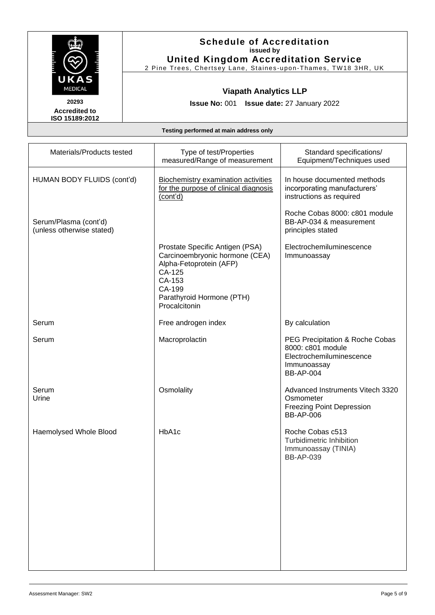

2 Pine Trees, Chertsey Lane, Staines -upon -Thames, TW18 3HR, UK

# **Viapath Analytics LLP**

**Issue No:** 001 **Issue date:** 27 January 2022

**Accredited to ISO 15189:2012** 

| Materials/Products tested                          | Type of test/Properties<br>measured/Range of measurement                                                                                                                 | Standard specifications/<br>Equipment/Techniques used                                                               |
|----------------------------------------------------|--------------------------------------------------------------------------------------------------------------------------------------------------------------------------|---------------------------------------------------------------------------------------------------------------------|
| HUMAN BODY FLUIDS (cont'd)                         | <b>Biochemistry examination activities</b><br>for the purpose of clinical diagnosis<br>(cont'd)                                                                          | In house documented methods<br>incorporating manufacturers'<br>instructions as required                             |
| Serum/Plasma (cont'd)<br>(unless otherwise stated) |                                                                                                                                                                          | Roche Cobas 8000: c801 module<br>BB-AP-034 & measurement<br>principles stated                                       |
|                                                    | Prostate Specific Antigen (PSA)<br>Carcinoembryonic hormone (CEA)<br>Alpha-Fetoprotein (AFP)<br>CA-125<br>CA-153<br>CA-199<br>Parathyroid Hormone (PTH)<br>Procalcitonin | Electrochemiluminescence<br>Immunoassay                                                                             |
| Serum                                              | Free androgen index                                                                                                                                                      | By calculation                                                                                                      |
| Serum                                              | Macroprolactin                                                                                                                                                           | PEG Precipitation & Roche Cobas<br>8000: c801 module<br>Electrochemiluminescence<br>Immunoassay<br><b>BB-AP-004</b> |
| Serum<br>Urine                                     | Osmolality                                                                                                                                                               | Advanced Instruments Vitech 3320<br>Osmometer<br><b>Freezing Point Depression</b><br><b>BB-AP-006</b>               |
| Haemolysed Whole Blood                             | HbA1c                                                                                                                                                                    | Roche Cobas c513<br>Turbidimetric Inhibition<br>Immunoassay (TINIA)<br><b>BB-AP-039</b>                             |
|                                                    |                                                                                                                                                                          |                                                                                                                     |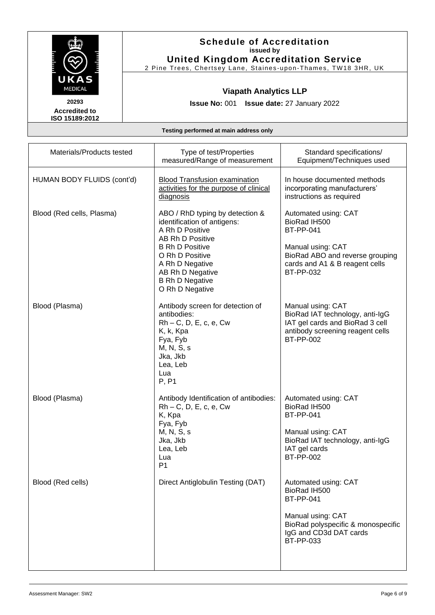

2 Pine Trees, Chertsey Lane, Staines -upon -Thames, TW18 3HR, UK

# **Viapath Analytics LLP**

**Issue No:** 001 **Issue date:** 27 January 2022

**Accredited to ISO 15189:2012** 

| Materials/Products tested  | Type of test/Properties<br>measured/Range of measurement                                                                                                                                                                               | Standard specifications/<br>Equipment/Techniques used                                                                                                                  |
|----------------------------|----------------------------------------------------------------------------------------------------------------------------------------------------------------------------------------------------------------------------------------|------------------------------------------------------------------------------------------------------------------------------------------------------------------------|
| HUMAN BODY FLUIDS (cont'd) | <b>Blood Transfusion examination</b><br>activities for the purpose of clinical<br>diagnosis                                                                                                                                            | In house documented methods<br>incorporating manufacturers'<br>instructions as required                                                                                |
| Blood (Red cells, Plasma)  | ABO / RhD typing by detection &<br>identification of antigens:<br>A Rh D Positive<br>AB Rh D Positive<br><b>B Rh D Positive</b><br>O Rh D Positive<br>A Rh D Negative<br>AB Rh D Negative<br><b>B Rh D Negative</b><br>O Rh D Negative | Automated using: CAT<br>BioRad IH500<br><b>BT-PP-041</b><br>Manual using: CAT<br>BioRad ABO and reverse grouping<br>cards and A1 & B reagent cells<br><b>BT-PP-032</b> |
| Blood (Plasma)             | Antibody screen for detection of<br>antibodies:<br>$Rh - C$ , D, E, c, e, Cw<br>K, k, Kpa<br>Fya, Fyb<br>M, N, S, s<br>Jka, Jkb<br>Lea, Leb<br>Lua<br>P, P1                                                                            | Manual using: CAT<br>BioRad IAT technology, anti-IgG<br>IAT gel cards and BioRad 3 cell<br>antibody screening reagent cells<br>BT-PP-002                               |
| Blood (Plasma)             | Antibody Identification of antibodies:<br>$Rh - C$ , D, E, c, e, Cw<br>K, Kpa<br>Fya, Fyb<br>M, N, S, s<br>Jka, Jkb<br>Lea, Leb<br>Lua<br>P <sub>1</sub>                                                                               | Automated using: CAT<br>BioRad IH500<br><b>BT-PP-041</b><br>Manual using: CAT<br>BioRad IAT technology, anti-IgG<br>IAT gel cards<br><b>BT-PP-002</b>                  |
| Blood (Red cells)          | Direct Antiglobulin Testing (DAT)                                                                                                                                                                                                      | Automated using: CAT<br>BioRad IH500<br><b>BT-PP-041</b><br>Manual using: CAT<br>BioRad polyspecific & monospecific<br>IgG and CD3d DAT cards<br>BT-PP-033             |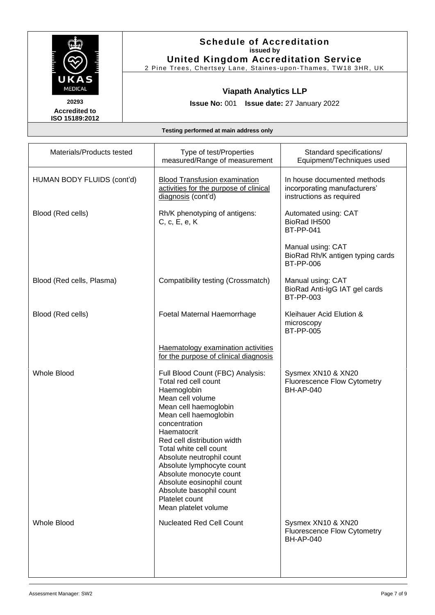

2 Pine Trees, Chertsey Lane, Staines -upon -Thames, TW18 3HR, UK

## **Viapath Analytics LLP**

**Issue No:** 001 **Issue date:** 27 January 2022

**Accredited to ISO 15189:2012** 

| Materials/Products tested  | Type of test/Properties<br>measured/Range of measurement                                                                                                                                                                                                                                                                                                                                                                      | Standard specifications/<br>Equipment/Techniques used                                   |
|----------------------------|-------------------------------------------------------------------------------------------------------------------------------------------------------------------------------------------------------------------------------------------------------------------------------------------------------------------------------------------------------------------------------------------------------------------------------|-----------------------------------------------------------------------------------------|
| HUMAN BODY FLUIDS (cont'd) | <b>Blood Transfusion examination</b><br>activities for the purpose of clinical<br>diagnosis (cont'd)                                                                                                                                                                                                                                                                                                                          | In house documented methods<br>incorporating manufacturers'<br>instructions as required |
| Blood (Red cells)          | Rh/K phenotyping of antigens:<br>C, c, E, e, K                                                                                                                                                                                                                                                                                                                                                                                | Automated using: CAT<br>BioRad IH500<br><b>BT-PP-041</b>                                |
|                            |                                                                                                                                                                                                                                                                                                                                                                                                                               | Manual using: CAT<br>BioRad Rh/K antigen typing cards<br><b>BT-PP-006</b>               |
| Blood (Red cells, Plasma)  | Compatibility testing (Crossmatch)                                                                                                                                                                                                                                                                                                                                                                                            | Manual using: CAT<br>BioRad Anti-IgG IAT gel cards<br>BT-PP-003                         |
| Blood (Red cells)          | Foetal Maternal Haemorrhage                                                                                                                                                                                                                                                                                                                                                                                                   | Kleihauer Acid Elution &<br>microscopy<br><b>BT-PP-005</b>                              |
|                            | Haematology examination activities<br>for the purpose of clinical diagnosis                                                                                                                                                                                                                                                                                                                                                   |                                                                                         |
| <b>Whole Blood</b>         | Full Blood Count (FBC) Analysis:<br>Total red cell count<br>Haemoglobin<br>Mean cell volume<br>Mean cell haemoglobin<br>Mean cell haemoglobin<br>concentration<br>Haematocrit<br>Red cell distribution width<br>Total white cell count<br>Absolute neutrophil count<br>Absolute lymphocyte count<br>Absolute monocyte count<br>Absolute eosinophil count<br>Absolute basophil count<br>Platelet count<br>Mean platelet volume | Sysmex XN10 & XN20<br><b>Fluorescence Flow Cytometry</b><br><b>BH-AP-040</b>            |
| <b>Whole Blood</b>         | <b>Nucleated Red Cell Count</b>                                                                                                                                                                                                                                                                                                                                                                                               | Sysmex XN10 & XN20<br><b>Fluorescence Flow Cytometry</b><br><b>BH-AP-040</b>            |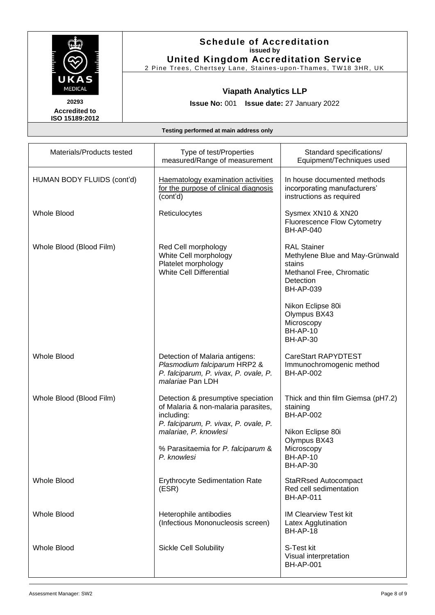

2 Pine Trees, Chertsey Lane, Staines -upon -Thames, TW18 3HR, UK

# **Viapath Analytics LLP**

**Issue No:** 001 **Issue date:** 27 January 2022

**Accredited to ISO 15189:2012** 

| Materials/Products tested  | Type of test/Properties<br>measured/Range of measurement                                                                                                                                                       | Standard specifications/<br>Equipment/Techniques used                                                                                                                                                                 |
|----------------------------|----------------------------------------------------------------------------------------------------------------------------------------------------------------------------------------------------------------|-----------------------------------------------------------------------------------------------------------------------------------------------------------------------------------------------------------------------|
| HUMAN BODY FLUIDS (cont'd) | <b>Haematology examination activities</b><br>for the purpose of clinical diagnosis<br>(cont'd)                                                                                                                 | In house documented methods<br>incorporating manufacturers'<br>instructions as required                                                                                                                               |
| <b>Whole Blood</b>         | Reticulocytes                                                                                                                                                                                                  | Sysmex XN10 & XN20<br><b>Fluorescence Flow Cytometry</b><br><b>BH-AP-040</b>                                                                                                                                          |
| Whole Blood (Blood Film)   | Red Cell morphology<br>White Cell morphology<br>Platelet morphology<br><b>White Cell Differential</b>                                                                                                          | <b>RAL Stainer</b><br>Methylene Blue and May-Grünwald<br>stains<br>Methanol Free, Chromatic<br>Detection<br><b>BH-AP-039</b><br>Nikon Eclipse 80i<br>Olympus BX43<br>Microscopy<br><b>BH-AP-10</b><br><b>BH-AP-30</b> |
| <b>Whole Blood</b>         | Detection of Malaria antigens:<br>Plasmodium falciparum HRP2 &<br>P. falciparum, P. vivax, P. ovale, P.<br>malariae Pan LDH                                                                                    | <b>CareStart RAPYDTEST</b><br>Immunochromogenic method<br><b>BH-AP-002</b>                                                                                                                                            |
| Whole Blood (Blood Film)   | Detection & presumptive speciation<br>of Malaria & non-malaria parasites,<br>including:<br>P. falciparum, P. vivax, P. ovale, P.<br>malariae, P. knowlesi<br>% Parasitaemia for P. falciparum &<br>P. knowlesi | Thick and thin film Giemsa (pH7.2)<br>staining<br><b>BH-AP-002</b><br>Nikon Eclipse 80i<br>Olympus BX43<br>Microscopy<br><b>BH-AP-10</b><br><b>BH-AP-30</b>                                                           |
| <b>Whole Blood</b>         | <b>Erythrocyte Sedimentation Rate</b><br>(ESR)                                                                                                                                                                 | <b>StaRRsed Autocompact</b><br>Red cell sedimentation<br><b>BH-AP-011</b>                                                                                                                                             |
| <b>Whole Blood</b>         | Heterophile antibodies<br>(Infectious Mononucleosis screen)                                                                                                                                                    | <b>IM Clearview Test kit</b><br>Latex Agglutination<br><b>BH-AP-18</b>                                                                                                                                                |
| <b>Whole Blood</b>         | <b>Sickle Cell Solubility</b>                                                                                                                                                                                  | S-Test kit<br>Visual interpretation<br><b>BH-AP-001</b>                                                                                                                                                               |